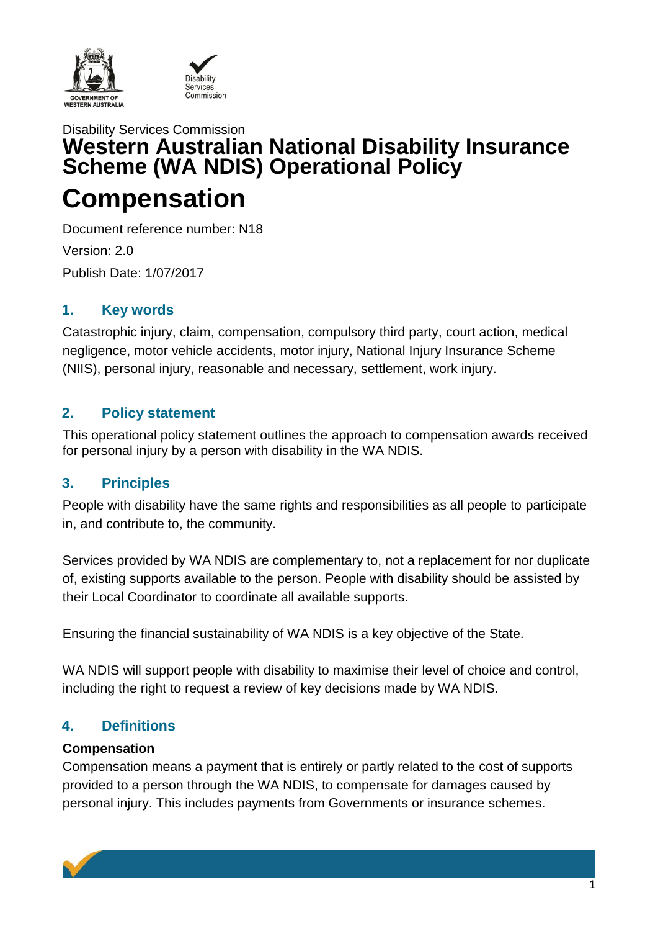



# Disability Services Commission **Western Australian National Disability Insurance Scheme (WA NDIS) Operational Policy Compensation**

Document reference number: N18 Version: 2.0 Publish Date: 1/07/2017

# **1. Key words**

Catastrophic injury, claim, compensation, compulsory third party, court action, medical negligence, motor vehicle accidents, motor injury, National Injury Insurance Scheme (NIIS), personal injury, reasonable and necessary, settlement, work injury.

# **2. Policy statement**

This operational policy statement outlines the approach to compensation awards received for personal injury by a person with disability in the WA NDIS.

# **3. Principles**

People with disability have the same rights and responsibilities as all people to participate in, and contribute to, the community.

Services provided by WA NDIS are complementary to, not a replacement for nor duplicate of, existing supports available to the person. People with disability should be assisted by their Local Coordinator to coordinate all available supports.

Ensuring the financial sustainability of WA NDIS is a key objective of the State.

WA NDIS will support people with disability to maximise their level of choice and control, including the right to request a review of key decisions made by WA NDIS.

# **4. Definitions**

#### **Compensation**

Compensation means a payment that is entirely or partly related to the cost of supports provided to a person through the WA NDIS, to compensate for damages caused by personal injury. This includes payments from Governments or insurance schemes.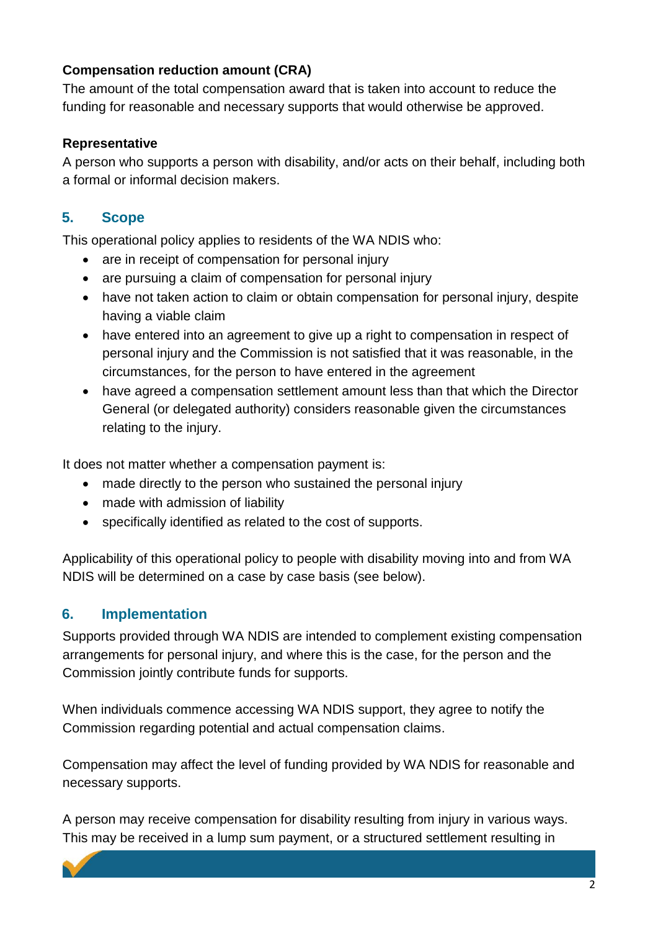### **Compensation reduction amount (CRA)**

The amount of the total compensation award that is taken into account to reduce the funding for reasonable and necessary supports that would otherwise be approved.

#### **Representative**

A person who supports a person with disability, and/or acts on their behalf, including both a formal or informal decision makers.

# **5. Scope**

This operational policy applies to residents of the WA NDIS who:

- are in receipt of compensation for personal injury
- are pursuing a claim of compensation for personal injury
- have not taken action to claim or obtain compensation for personal injury, despite having a viable claim
- have entered into an agreement to give up a right to compensation in respect of personal injury and the Commission is not satisfied that it was reasonable, in the circumstances, for the person to have entered in the agreement
- have agreed a compensation settlement amount less than that which the Director General (or delegated authority) considers reasonable given the circumstances relating to the injury.

It does not matter whether a compensation payment is:

- made directly to the person who sustained the personal injury
- made with admission of liability
- specifically identified as related to the cost of supports.

Applicability of this operational policy to people with disability moving into and from WA NDIS will be determined on a case by case basis (see below).

# **6. Implementation**

Supports provided through WA NDIS are intended to complement existing compensation arrangements for personal injury, and where this is the case, for the person and the Commission jointly contribute funds for supports.

When individuals commence accessing WA NDIS support, they agree to notify the Commission regarding potential and actual compensation claims.

Compensation may affect the level of funding provided by WA NDIS for reasonable and necessary supports.

A person may receive compensation for disability resulting from injury in various ways. This may be received in a lump sum payment, or a structured settlement resulting in

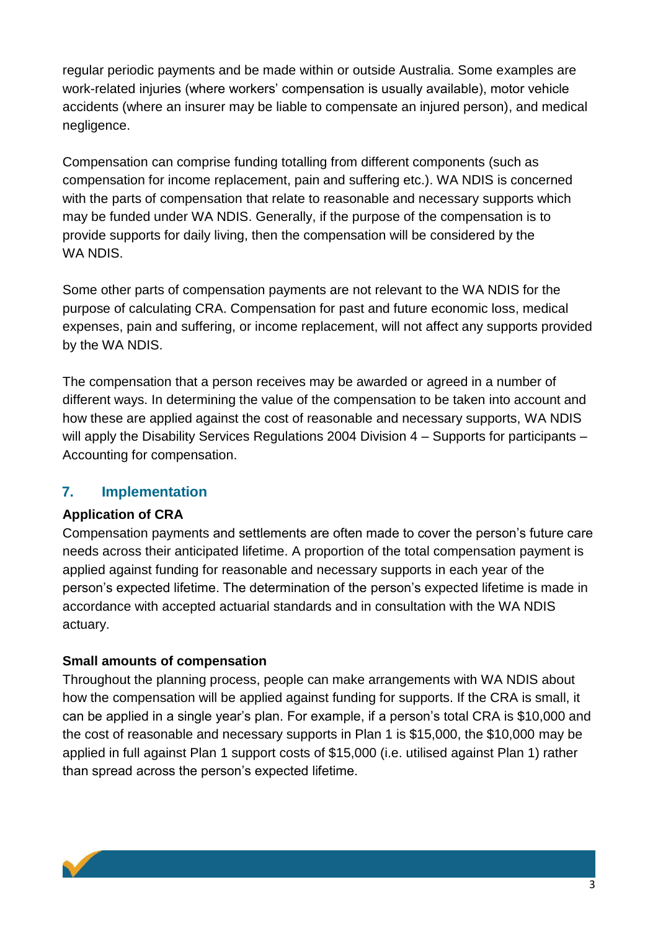regular periodic payments and be made within or outside Australia. Some examples are work-related injuries (where workers' compensation is usually available), motor vehicle accidents (where an insurer may be liable to compensate an injured person), and medical negligence.

Compensation can comprise funding totalling from different components (such as compensation for income replacement, pain and suffering etc.). WA NDIS is concerned with the parts of compensation that relate to reasonable and necessary supports which may be funded under WA NDIS. Generally, if the purpose of the compensation is to provide supports for daily living, then the compensation will be considered by the WA NDIS.

Some other parts of compensation payments are not relevant to the WA NDIS for the purpose of calculating CRA. Compensation for past and future economic loss, medical expenses, pain and suffering, or income replacement, will not affect any supports provided by the WA NDIS.

The compensation that a person receives may be awarded or agreed in a number of different ways. In determining the value of the compensation to be taken into account and how these are applied against the cost of reasonable and necessary supports, WA NDIS will apply the Disability Services Regulations 2004 Division 4 – Supports for participants – Accounting for compensation.

# **7. Implementation**

# **Application of CRA**

Compensation payments and settlements are often made to cover the person's future care needs across their anticipated lifetime. A proportion of the total compensation payment is applied against funding for reasonable and necessary supports in each year of the person's expected lifetime. The determination of the person's expected lifetime is made in accordance with accepted actuarial standards and in consultation with the WA NDIS actuary.

# **Small amounts of compensation**

Throughout the planning process, people can make arrangements with WA NDIS about how the compensation will be applied against funding for supports. If the CRA is small, it can be applied in a single year's plan. For example, if a person's total CRA is \$10,000 and the cost of reasonable and necessary supports in Plan 1 is \$15,000, the \$10,000 may be applied in full against Plan 1 support costs of \$15,000 (i.e. utilised against Plan 1) rather than spread across the person's expected lifetime.

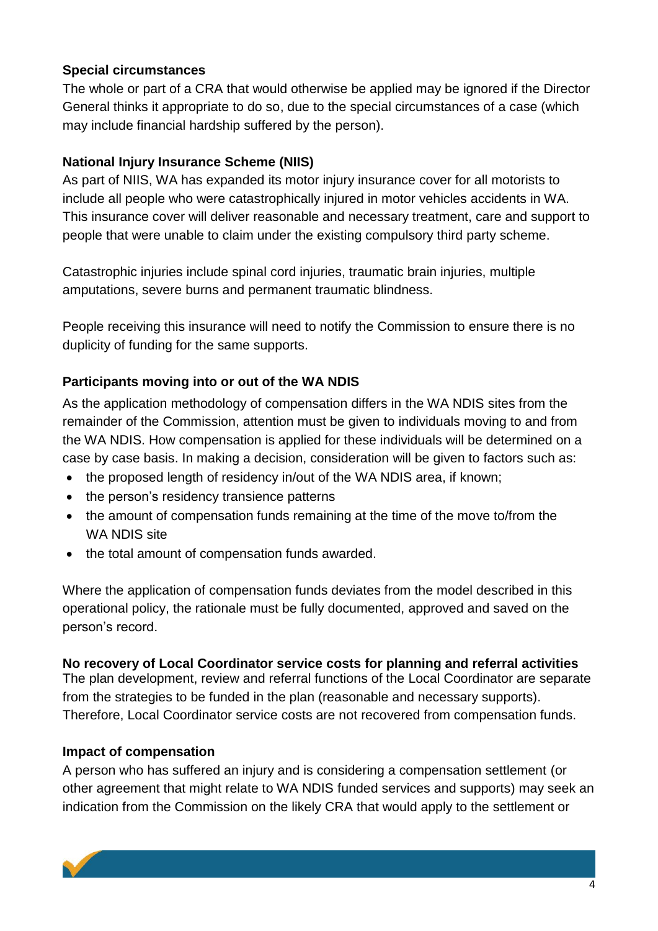#### **Special circumstances**

The whole or part of a CRA that would otherwise be applied may be ignored if the Director General thinks it appropriate to do so, due to the special circumstances of a case (which may include financial hardship suffered by the person).

# **National Injury Insurance Scheme (NIIS)**

As part of NIIS, WA has expanded its motor injury insurance cover for all motorists to include all people who were catastrophically injured in motor vehicles accidents in WA. This insurance cover will deliver reasonable and necessary treatment, care and support to people that were unable to claim under the existing compulsory third party scheme.

Catastrophic injuries include spinal cord injuries, traumatic brain injuries, multiple amputations, severe burns and permanent traumatic blindness.

People receiving this insurance will need to notify the Commission to ensure there is no duplicity of funding for the same supports.

# **Participants moving into or out of the WA NDIS**

As the application methodology of compensation differs in the WA NDIS sites from the remainder of the Commission, attention must be given to individuals moving to and from the WA NDIS. How compensation is applied for these individuals will be determined on a case by case basis. In making a decision, consideration will be given to factors such as:

- the proposed length of residency in/out of the WA NDIS area, if known;
- the person's residency transience patterns
- the amount of compensation funds remaining at the time of the move to/from the WA NDIS site
- the total amount of compensation funds awarded.

Where the application of compensation funds deviates from the model described in this operational policy, the rationale must be fully documented, approved and saved on the person's record.

# **No recovery of Local Coordinator service costs for planning and referral activities**

The plan development, review and referral functions of the Local Coordinator are separate from the strategies to be funded in the plan (reasonable and necessary supports). Therefore, Local Coordinator service costs are not recovered from compensation funds.

# **Impact of compensation**

A person who has suffered an injury and is considering a compensation settlement (or other agreement that might relate to WA NDIS funded services and supports) may seek an indication from the Commission on the likely CRA that would apply to the settlement or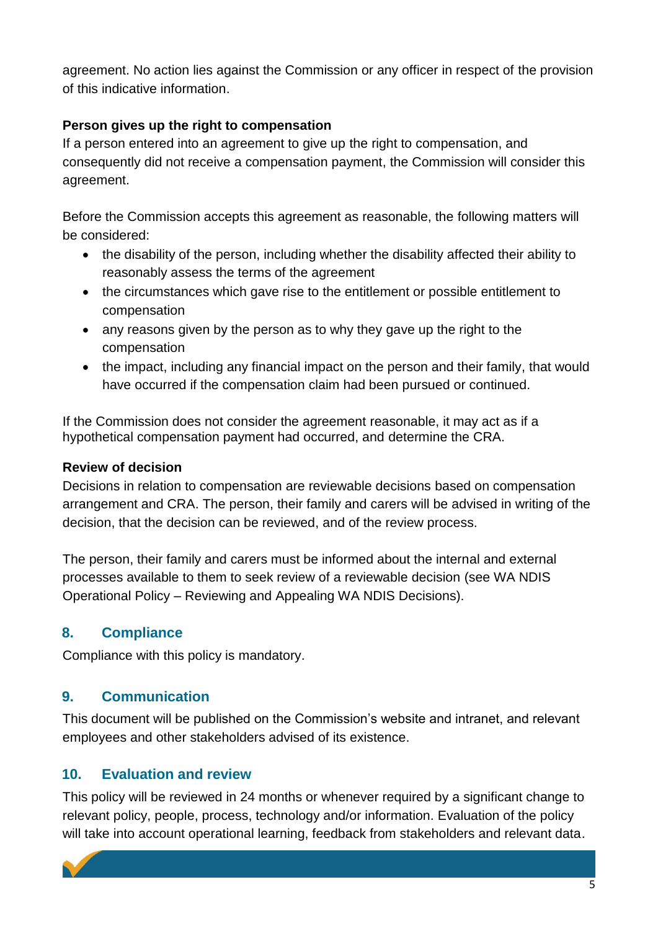agreement. No action lies against the Commission or any officer in respect of the provision of this indicative information.

### **Person gives up the right to compensation**

If a person entered into an agreement to give up the right to compensation, and consequently did not receive a compensation payment, the Commission will consider this agreement.

Before the Commission accepts this agreement as reasonable, the following matters will be considered:

- the disability of the person, including whether the disability affected their ability to reasonably assess the terms of the agreement
- the circumstances which gave rise to the entitlement or possible entitlement to compensation
- any reasons given by the person as to why they gave up the right to the compensation
- the impact, including any financial impact on the person and their family, that would have occurred if the compensation claim had been pursued or continued.

If the Commission does not consider the agreement reasonable, it may act as if a hypothetical compensation payment had occurred, and determine the CRA.

#### **Review of decision**

Decisions in relation to compensation are reviewable decisions based on compensation arrangement and CRA. The person, their family and carers will be advised in writing of the decision, that the decision can be reviewed, and of the review process.

The person, their family and carers must be informed about the internal and external processes available to them to seek review of a reviewable decision (see WA NDIS Operational Policy – Reviewing and Appealing WA NDIS Decisions).

# **8. Compliance**

Compliance with this policy is mandatory.

# **9. Communication**

This document will be published on the Commission's website and intranet, and relevant employees and other stakeholders advised of its existence.

# **10. Evaluation and review**

This policy will be reviewed in 24 months or whenever required by a significant change to relevant policy, people, process, technology and/or information. Evaluation of the policy will take into account operational learning, feedback from stakeholders and relevant data.